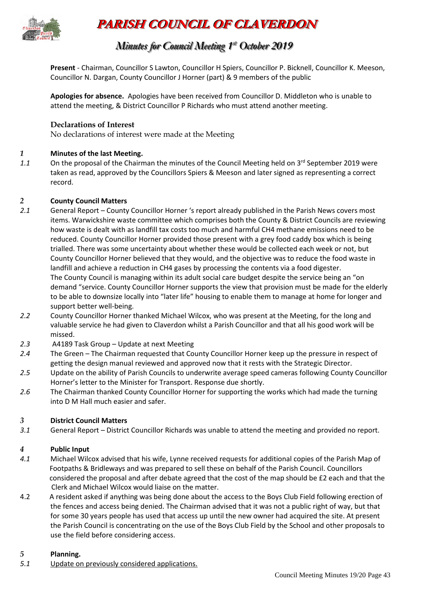

# **PARISH COUNCIL OF CLAVERDON**

## *Minutes for Council Meeting 1 s s t <sup>t</sup> October 2019*

**Present** - Chairman, Councillor S Lawton, Councillor H Spiers, Councillor P. Bicknell, Councillor K. Meeson, Councillor N. Dargan, County Councillor J Horner (part) & 9 members of the public

**Apologies for absence.** Apologies have been received from Councillor D. Middleton who is unable to attend the meeting, & District Councillor P Richards who must attend another meeting.

## **Declarations of Interest**

No declarations of interest were made at the Meeting

## *1* **Minutes of the last Meeting.**

1.1 On the proposal of the Chairman the minutes of the Council Meeting held on 3<sup>rd</sup> September 2019 were taken as read, approved by the Councillors Spiers & Meeson and later signed as representing a correct record.

## *2* **County Council Matters**

- *2.1* General Report County Councillor Horner 's report already published in the Parish News covers most items. Warwickshire waste committee which comprises both the County & District Councils are reviewing how waste is dealt with as landfill tax costs too much and harmful CH4 methane emissions need to be reduced. County Councillor Horner provided those present with a grey food caddy box which is being trialled. There was some uncertainty about whether these would be collected each week or not, but County Councillor Horner believed that they would, and the objective was to reduce the food waste in landfill and achieve a reduction in CH4 gases by processing the contents via a food digester. The County Council is managing within its adult social care budget despite the service being an "on demand "service. County Councillor Horner supports the view that provision must be made for the elderly to be able to downsize locally into "later life" housing to enable them to manage at home for longer and support better well-being.
- *2.2* County Councillor Horner thanked Michael Wilcox, who was present at the Meeting, for the long and valuable service he had given to Claverdon whilst a Parish Councillor and that all his good work will be missed.
- *2.3* A4189 Task Group Update at next Meeting
- *2.4* The Green The Chairman requested that County Councillor Horner keep up the pressure in respect of getting the design manual reviewed and approved now that it rests with the Strategic Director.
- *2.5* Update on the ability of Parish Councils to underwrite average speed cameras following County Councillor Horner's letter to the Minister for Transport. Response due shortly.
- *2.6* The Chairman thanked County Councillor Horner for supporting the works which had made the turning into D M Hall much easier and safer.

## *3* **District Council Matters**

*3.1* General Report – District Councillor Richards was unable to attend the meeting and provided no report.

## *4* **Public Input**

- *4.1* Michael Wilcox advised that his wife, Lynne received requests for additional copies of the Parish Map of Footpaths & Bridleways and was prepared to sell these on behalf of the Parish Council. Councillors considered the proposal and after debate agreed that the cost of the map should be £2 each and that the Clerk and Michael Wilcox would liaise on the matter.
- 4.2 A resident asked if anything was being done about the access to the Boys Club Field following erection of the fences and access being denied. The Chairman advised that it was not a public right of way, but that for some 30 years people has used that access up until the new owner had acquired the site. At present the Parish Council is concentrating on the use of the Boys Club Field by the School and other proposals to use the field before considering access.

#### *5* **Planning.**

*5.1* Update on previously considered applications.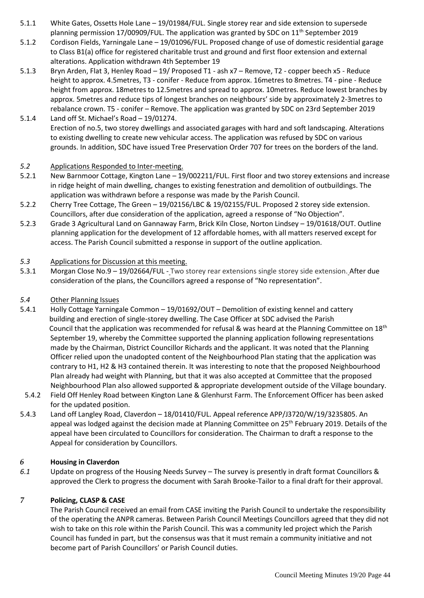- 5.1.1 White Gates, Ossetts Hole Lane 19/01984/FUL. Single storey rear and side extension to supersede planning permission 17/00909/FUL. The application was granted by SDC on  $11<sup>th</sup>$  September 2019
- 5.1.2 Cordison Fields, Yarningale Lane 19/01096/FUL. Proposed change of use of domestic residential garage to Class B1(a) office for registered charitable trust and ground and first floor extension and external alterations. Application withdrawn 4th September 19
- 5.1.3 Bryn Arden, Flat 3, Henley Road 19/ Proposed T1 ash x7 Remove, T2 copper beech x5 Reduce height to approx. 4.5metres, T3 - conifer - Reduce from approx. 16metres to 8metres. T4 - pine - Reduce height from approx. 18metres to 12.5metres and spread to approx. 10metres. Reduce lowest branches by approx. 5metres and reduce tips of longest branches on neighbours' side by approximately 2-3metres to rebalance crown. T5 - conifer – Remove. The application was granted by SDC on 23rd September 2019
- 5.1.4 Land off St. Michael's Road 19/01274. Erection of no.5, two storey dwellings and associated garages with hard and soft landscaping. Alterations to existing dwelling to create new vehicular access. The application was refused by SDC on various grounds. In addition, SDC have issued Tree Preservation Order 707 for trees on the borders of the land.

#### *5.2* Applications Responded to Inter-meeting.

- 5.2.1 New Barnmoor Cottage, Kington Lane 19/002211/FUL. First floor and two storey extensions and increase in ridge height of main dwelling, changes to existing fenestration and demolition of outbuildings. The application was withdrawn before a response was made by the Parish Council.
- 5.2.2 Cherry Tree Cottage, The Green 19/02156/LBC & 19/02155/FUL. Proposed 2 storey side extension. Councillors, after due consideration of the application, agreed a response of "No Objection".
- 5.2.3 Grade 3 Agricultural Land on Gannaway Farm, Brick Kiln Close, Norton Lindsey 19/01618/OUT. Outline planning application for the development of 12 affordable homes, with all matters reserved except for access. The Parish Council submitted a response in support of the outline application.

#### *5.3* Applications for Discussion at this meeting.

5.3.1 Morgan Close No.9 – 19/02664/FUL - Two storey rear extensions single storey side extension. After due consideration of the plans, the Councillors agreed a response of "No representation".

#### *5.4* Other Planning Issues

- 5.4.1 Holly Cottage Yarningale Common 19/01692/OUT Demolition of existing kennel and cattery building and erection of single-storey dwelling. The Case Officer at SDC advised the Parish Council that the application was recommended for refusal & was heard at the Planning Committee on  $18<sup>th</sup>$ September 19, whereby the Committee supported the planning application following representations made by the Chairman, District Councillor Richards and the applicant. It was noted that the Planning Officer relied upon the unadopted content of the Neighbourhood Plan stating that the application was contrary to H1, H2 & H3 contained therein. It was interesting to note that the proposed Neighbourhood Plan already had weight with Planning, but that it was also accepted at Committee that the proposed Neighbourhood Plan also allowed supported & appropriate development outside of the Village boundary.
- 5.4.2 Field Off Henley Road between Kington Lane & Glenhurst Farm. The Enforcement Officer has been asked for the updated position.
- 5.4.3 Land off Langley Road, Claverdon 18/01410/FUL. Appeal reference APP/J3720/W/19/3235805. An appeal was lodged against the decision made at Planning Committee on 25<sup>th</sup> February 2019. Details of the appeal have been circulated to Councillors for consideration. The Chairman to draft a response to the Appeal for consideration by Councillors.

#### *6* **Housing in Claverdon**

*6.1* Update on progress of the Housing Needs Survey – The survey is presently in draft format Councillors & approved the Clerk to progress the document with Sarah Brooke-Tailor to a final draft for their approval.

## *7* **Policing, CLASP & CASE**

The Parish Council received an email from CASE inviting the Parish Council to undertake the responsibility of the operating the ANPR cameras. Between Parish Council Meetings Councillors agreed that they did not wish to take on this role within the Parish Council. This was a community led project which the Parish Council has funded in part, but the consensus was that it must remain a community initiative and not become part of Parish Councillors' or Parish Council duties.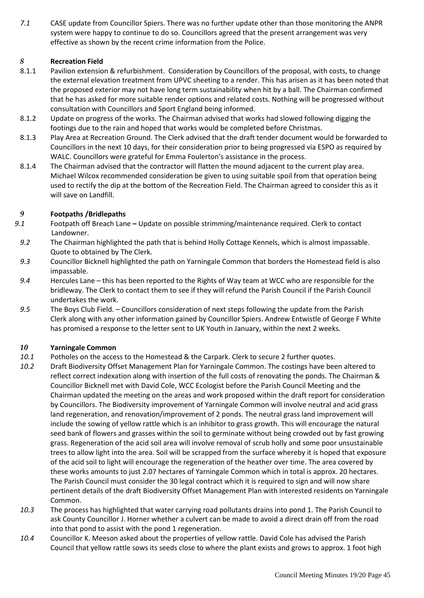*7.1* CASE update from Councillor Spiers. There was no further update other than those monitoring the ANPR system were happy to continue to do so. Councillors agreed that the present arrangement was very effective as shown by the recent crime information from the Police.

## *8* **Recreation Field**

- 8.1.1 Pavilion extension & refurbishment. Consideration by Councillors of the proposal, with costs, to change the external elevation treatment from UPVC sheeting to a render. This has arisen as it has been noted that the proposed exterior may not have long term sustainability when hit by a ball. The Chairman confirmed that he has asked for more suitable render options and related costs. Nothing will be progressed without consultation with Councillors and Sport England being informed.
- 8.1.2 Update on progress of the works. The Chairman advised that works had slowed following digging the footings due to the rain and hoped that works would be completed before Christmas.
- 8.1.3 Play Area at Recreation Ground. The Clerk advised that the draft tender document would be forwarded to Councillors in the next 10 days, for their consideration prior to being progressed via ESPO as required by WALC. Councillors were grateful for Emma Foulerton's assistance in the process.
- 8.1.4 The Chairman advised that the contractor will flatten the mound adjacent to the current play area. Michael Wilcox recommended consideration be given to using suitable spoil from that operation being used to rectify the dip at the bottom of the Recreation Field. The Chairman agreed to consider this as it will save on Landfill.

## *9* **Footpaths /Bridlepaths**

- *9.1* Footpath off Breach Lane **–** Update on possible strimming/maintenance required. Clerk to contact Landowner.
- *9.2* The Chairman highlighted the path that is behind Holly Cottage Kennels, which is almost impassable. Quote to obtained by The Clerk.
- *9.3* Councillor Bicknell highlighted the path on Yarningale Common that borders the Homestead field is also impassable.
- *9.4* Hercules Lane this has been reported to the Rights of Way team at WCC who are responsible for the bridleway. The Clerk to contact them to see if they will refund the Parish Council if the Parish Council undertakes the work.
- *9.5* The Boys Club Field. Councillors consideration of next steps following the update from the Parish Clerk along with any other information gained by Councillor Spiers. Andrew Entwistle of George F White has promised a response to the letter sent to UK Youth in January, within the next 2 weeks.

## *10* **Yarningale Common**

- *10.1* Potholes on the access to the Homestead & the Carpark. Clerk to secure 2 further quotes.
- *10.2* Draft Biodiversity Offset Management Plan for Yarningale Common. The costings have been altered to reflect correct indexation along with insertion of the full costs of renovating the ponds. The Chairman & Councillor Bicknell met with David Cole, WCC Ecologist before the Parish Council Meeting and the Chairman updated the meeting on the areas and work proposed within the draft report for consideration by Councillors. The Biodiversity improvement of Yarningale Common will involve neutral and acid grass land regeneration, and renovation/improvement of 2 ponds. The neutral grass land improvement will include the sowing of yellow rattle which is an inhibitor to grass growth. This will encourage the natural seed bank of flowers and grasses within the soil to germinate without being crowded out by fast growing grass. Regeneration of the acid soil area will involve removal of scrub holly and some poor unsustainable trees to allow light into the area. Soil will be scrapped from the surface whereby it is hoped that exposure of the acid soil to light will encourage the regeneration of the heather over time. The area covered by these works amounts to just 2.07 hectares of Yarningale Common which in total is approx. 20 hectares. The Parish Council must consider the 30 legal contract which it is required to sign and will now share pertinent details of the draft Biodiversity Offset Management Plan with interested residents on Yarningale Common.
- *10.3* The process has highlighted that water carrying road pollutants drains into pond 1. The Parish Council to ask County Councillor J. Horner whether a culvert can be made to avoid a direct drain off from the road into that pond to assist with the pond 1 regeneration.
- *10.4* Councillor K. Meeson asked about the properties of yellow rattle. David Cole has advised the Parish Council that yellow rattle sows its seeds close to where the plant exists and grows to approx. 1 foot high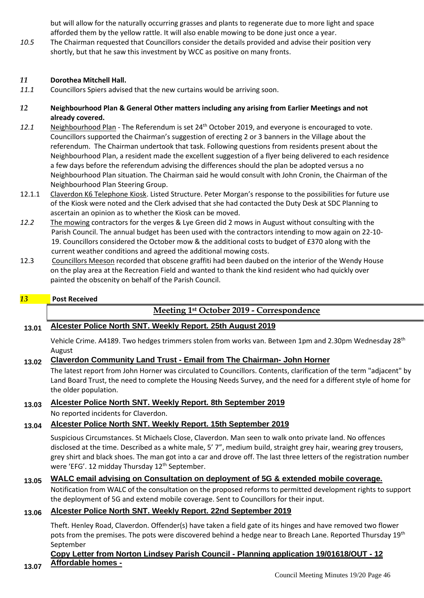but will allow for the naturally occurring grasses and plants to regenerate due to more light and space afforded them by the yellow rattle. It will also enable mowing to be done just once a year.

*10.5* The Chairman requested that Councillors consider the details provided and advise their position very shortly, but that he saw this investment by WCC as positive on many fronts.

## *11* **Dorothea Mitchell Hall.**

- *11.1* Councillors Spiers advised that the new curtains would be arriving soon.
- *12* **Neighbourhood Plan & General Other matters including any arising from Earlier Meetings and not already covered.**
- *12.1* Neighbourhood Plan The Referendum is set 24th October 2019, and everyone is encouraged to vote. Councillors supported the Chairman's suggestion of erecting 2 or 3 banners in the Village about the referendum. The Chairman undertook that task. Following questions from residents present about the Neighbourhood Plan, a resident made the excellent suggestion of a flyer being delivered to each residence a few days before the referendum advising the differences should the plan be adopted versus a no Neighbourhood Plan situation. The Chairman said he would consult with John Cronin, the Chairman of the Neighbourhood Plan Steering Group.
- 12.1.1 Claverdon K6 Telephone Kiosk. Listed Structure. Peter Morgan's response to the possibilities for future use of the Kiosk were noted and the Clerk advised that she had contacted the Duty Desk at SDC Planning to ascertain an opinion as to whether the Kiosk can be moved.
- *12.2* The mowing contractors for the verges & Lye Green did 2 mows in August without consulting with the Parish Council. The annual budget has been used with the contractors intending to mow again on 22-10- 19. Councillors considered the October mow & the additional costs to budget of £370 along with the current weather conditions and agreed the additional mowing costs.
- 12.3 Councillors Meeson recorded that obscene graffiti had been daubed on the interior of the Wendy House on the play area at the Recreation Field and wanted to thank the kind resident who had quickly over painted the obscenity on behalf of the Parish Council.

#### *13* **Post Received**

**13.07**

## **Meeting 1st October 2019 - Correspondence**

## **13.01 Alcester Police North SNT. Weekly Report. 25th August 2019**

Vehicle Crime. A4189. Two hedges trimmers stolen from works van. Between 1pm and 2.30pm Wednesday 28th August

#### **13.02 Claverdon Community Land Trust - Email from The Chairman- John Horner**

The latest report from John Horner was circulated to Councillors. Contents, clarification of the term "adjacent" by Land Board Trust, the need to complete the Housing Needs Survey, and the need for a different style of home for the older population.

## **13.03 Alcester Police North SNT. Weekly Report. 8th September 2019**

No reported incidents for Claverdon.

## **13.04 Alcester Police North SNT. Weekly Report. 15th September 2019**

Suspicious Circumstances. St Michaels Close, Claverdon. Man seen to walk onto private land. No offences disclosed at the time. Described as a white male, 5' 7", medium build, straight grey hair, wearing grey trousers, grey shirt and black shoes. The man got into a car and drove off. The last three letters of the registration number were 'EFG'. 12 midday Thursday 12<sup>th</sup> September.

## **13.05 WALC email advising on Consultation on deployment of 5G & extended mobile coverage.**

Notification from WALC of the consultation on the proposed reforms to permitted development rights to support the deployment of 5G and extend mobile coverage. Sent to Councillors for their input.

## **13.06 Alcester Police North SNT. Weekly Report. 22nd September 2019**

Theft. Henley Road, Claverdon. Offender(s) have taken a field gate of its hinges and have removed two flower pots from the premises. The pots were discovered behind a hedge near to Breach Lane. Reported Thursday 19<sup>th</sup> September

#### **Copy Letter from Norton Lindsey Parish Council - Planning application 19/01618/OUT - 12 Affordable homes -**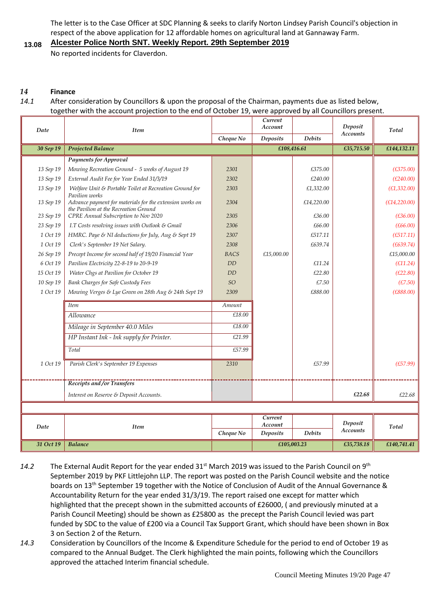The letter is to the Case Officer at SDC Planning & seeks to clarify Norton Lindsey Parish Council's objection in respect of the above application for 12 affordable homes on agricultural land at Gannaway Farm.

#### **13.08 Alcester Police North SNT. Weekly Report. 29th September 2019**

No reported incidents for Claverdon.

#### *14* **Finance**

## *14.1* After consideration by Councillors & upon the proposal of the Chairman, payments due as listed below, together with the account projection to the end of October 19, were approved by all Councillors present.

| Date      | <b>Item</b>                                                                                       |             | Current<br>Account |               | Deposit         | Total         |
|-----------|---------------------------------------------------------------------------------------------------|-------------|--------------------|---------------|-----------------|---------------|
|           |                                                                                                   | Cheque No   | <b>Deposits</b>    | <b>Debits</b> | <b>Accounts</b> |               |
| 30 Sep 19 | <b>Projected Balance</b>                                                                          |             | £108,416.61        |               | £35,715.50      | £144,132.11   |
|           | <b>Payments for Approval</b>                                                                      |             |                    |               |                 |               |
| 13 Sep 19 | Mowing Recreation Ground - 5 weeks of August 19                                                   | 2301        |                    | £375.00       |                 | (E375.00)     |
| 13 Sep 19 | External Audit Fee for Year Ended 31/3/19                                                         | 2302        |                    | £240.00       |                 | (E240.00)     |
| 13 Sep 19 | Welfare Unit & Portable Toilet at Recreation Ground for<br>Pavilion works                         | 2303        |                    | £1,332.00     |                 | (E1, 332.00)  |
| 13 Sep 19 | Advance payment for materials for the extension works on<br>the Pavilion at the Recreation Ground | 2304        |                    | £14,220.00    |                 | (E14, 220.00) |
| 23 Sep 19 | CPRE Annual Subscription to Nov 2020                                                              | 2305        |                    | £36.00        |                 | (E36.00)      |
| 23 Sep 19 | I.T Costs resolving issues with Outlook & Gmail                                                   | 2306        |                    | £66.00        |                 | (E66.00)      |
| 1 Oct 19  | HMRC. Paye & NI deductions for July, Aug & Sept 19                                                | 2307        |                    | £517.11       |                 | (E517.11)     |
| 1 Oct 19  | Clerk's September 19 Net Salary.                                                                  | 2308        |                    | £639.74       |                 | (E639.74)     |
| 26 Sep 19 | Precept Income for second half of 19/20 Financial Year                                            | <b>BACS</b> | £15,000.00         |               |                 | £15,000.00    |
| 6 Oct 19  | Pavilion Electricity 22-8-19 to 20-9-19                                                           | <b>DD</b>   |                    | £11.24        |                 | (E11.24)      |
| 15 Oct 19 | Water Chgs at Pavilion for October 19                                                             | <b>DD</b>   |                    | £22.80        |                 | (E22.80)      |
| 10 Sep 19 | Bank Charges for Safe Custody Fees                                                                | SO          |                    | £7.50         |                 | (E7.50)       |
| 1 Oct 19  | Mowing Verges & Lye Green on 28th Aug & 24th Sept 19                                              | 2309        |                    | £888.00       |                 | (E888.00)     |
|           | <b>Item</b>                                                                                       | Amount      |                    |               |                 |               |
|           | Allowance                                                                                         | £18.00      |                    |               |                 |               |
|           | Mileage in September 40.0 Miles                                                                   | £18.00      |                    |               |                 |               |
|           | HP Instant Ink - Ink supply for Printer.                                                          | £21.99      |                    |               |                 |               |
|           | Total                                                                                             | £57.99      |                    |               |                 |               |
| 1 Oct 19  | Parish Clerk's September 19 Expenses                                                              | 2310        |                    | £57.99        |                 | (E57.99)      |
|           | Receipts and /or Transfers                                                                        |             |                    |               |                 |               |
|           | Interest on Reserve & Deposit Accounts.                                                           |             |                    |               | £22.68          | £22.68        |
|           |                                                                                                   |             |                    |               |                 |               |
| Date      | <b>Item</b>                                                                                       |             | Current<br>Account |               | Deposit         | Total         |
|           |                                                                                                   | Cheque No   | Deposits           | <b>Debits</b> | <b>Accounts</b> |               |
| 31 Oct 19 | <b>Balance</b>                                                                                    |             | £105,003.23        |               | £35,738.18      | £140,741.41   |

- 14.2 The External Audit Report for the year ended 31<sup>st</sup> March 2019 was issued to the Parish Council on 9<sup>th</sup> September 2019 by PKF Littlejohn LLP. The report was posted on the Parish Council website and the notice boards on 13th September 19 together with the Notice of Conclusion of Audit of the Annual Governance & Accountability Return for the year ended 31/3/19. The report raised one except for matter which highlighted that the precept shown in the submitted accounts of £26000, ( and previously minuted at a Parish Council Meeting) should be shown as £25800 as the precept the Parish Council levied was part funded by SDC to the value of £200 via a Council Tax Support Grant, which should have been shown in Box 3 on Section 2 of the Return.
- *14.3* Consideration by Councillors of the Income & Expenditure Schedule for the period to end of October 19 as compared to the Annual Budget. The Clerk highlighted the main points, following which the Councillors approved the attached Interim financial schedule.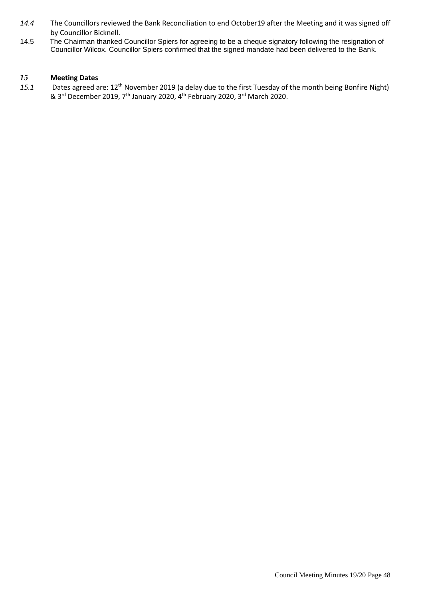- *14.4* The Councillors reviewed the Bank Reconciliation to end October19 after the Meeting and it was signed off by Councillor Bicknell.
- 14.5 The Chairman thanked Councillor Spiers for agreeing to be a cheque signatory following the resignation of Councillor Wilcox. Councillor Spiers confirmed that the signed mandate had been delivered to the Bank.

#### *15* **Meeting Dates**

*15.1* Dates agreed are: 12th November 2019 (a delay due to the first Tuesday of the month being Bonfire Night) & 3<sup>rd</sup> December 2019, 7<sup>th</sup> January 2020, 4<sup>th</sup> February 2020, 3<sup>rd</sup> March 2020.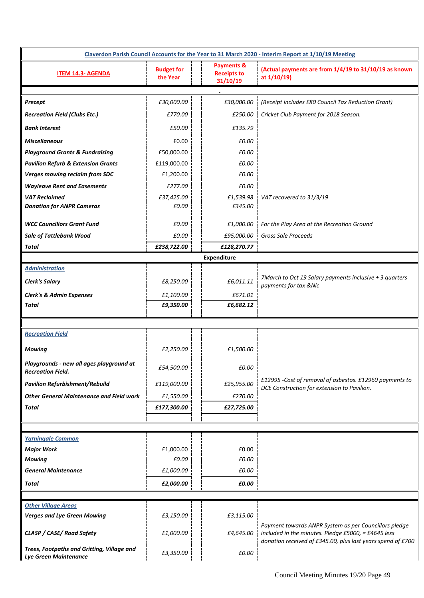| Claverdon Parish Council Accounts for the Year to 31 March 2020 - Interim Report at 1/10/19 Meeting |                               |                                                         |                                                                                                              |  |  |  |
|-----------------------------------------------------------------------------------------------------|-------------------------------|---------------------------------------------------------|--------------------------------------------------------------------------------------------------------------|--|--|--|
| <b>ITEM 14.3- AGENDA</b>                                                                            | <b>Budget for</b><br>the Year | <b>Payments &amp;</b><br><b>Receipts to</b><br>31/10/19 | (Actual payments are from 1/4/19 to 31/10/19 as known<br>at 1/10/19)                                         |  |  |  |
|                                                                                                     |                               |                                                         |                                                                                                              |  |  |  |
| Precept                                                                                             | £30,000.00                    | £30,000.00                                              | (Receipt includes £80 Council Tax Reduction Grant)                                                           |  |  |  |
| <b>Recreation Field (Clubs Etc.)</b>                                                                | £770.00                       | £250.00                                                 | Cricket Club Payment for 2018 Season.                                                                        |  |  |  |
| <b>Bank Interest</b>                                                                                | £50.00                        | £135.79                                                 |                                                                                                              |  |  |  |
| <b>Miscellaneous</b>                                                                                | £0.00                         | £0.00                                                   |                                                                                                              |  |  |  |
| <b>Playground Grants &amp; Fundraising</b>                                                          | £50,000.00                    | £0.00                                                   |                                                                                                              |  |  |  |
| <b>Pavilion Refurb &amp; Extension Grants</b>                                                       | £119,000.00                   | £0.00                                                   |                                                                                                              |  |  |  |
| <b>Verges mowing reclaim from SDC</b>                                                               | £1,200.00                     | £0.00                                                   |                                                                                                              |  |  |  |
| <b>Wayleave Rent and Easements</b>                                                                  | £277.00                       | £0.00                                                   |                                                                                                              |  |  |  |
| <b>VAT Reclaimed</b><br><b>Donation for ANPR Cameras</b>                                            | £37,425.00<br>£0.00           | £1,539.98<br>£345.00                                    | VAT recovered to 31/3/19                                                                                     |  |  |  |
| <b>WCC Councillors Grant Fund</b>                                                                   | £0.00                         | £1,000.00                                               | For the Play Area at the Recreation Ground                                                                   |  |  |  |
| <b>Sale of Tattlebank Wood</b>                                                                      | £0.00                         | £95,000.00                                              | Gross Sale Proceeds                                                                                          |  |  |  |
| Total                                                                                               | £238,722.00                   | £128,270.77                                             |                                                                                                              |  |  |  |
|                                                                                                     |                               | <b>Expenditure</b>                                      |                                                                                                              |  |  |  |
| <b>Administration</b>                                                                               |                               |                                                         |                                                                                                              |  |  |  |
| <b>Clerk's Salary</b>                                                                               | £8,250.00                     | £6,011.11                                               | 7March to Oct 19 Salary payments inclusive + 3 quarters<br>payments for tax & Nic                            |  |  |  |
| <b>Clerk's &amp; Admin Expenses</b>                                                                 | £1,100.00                     | £671.01                                                 |                                                                                                              |  |  |  |
| <b>Total</b>                                                                                        | £9,350.00                     | £6,682.12                                               |                                                                                                              |  |  |  |
|                                                                                                     |                               |                                                         |                                                                                                              |  |  |  |
| <b>Recreation Field</b>                                                                             |                               |                                                         |                                                                                                              |  |  |  |
| <b>Mowing</b>                                                                                       | £2,250.00                     | £1,500.00                                               |                                                                                                              |  |  |  |
| Playgrounds - new all ages playground at<br><b>Recreation Field.</b>                                | £54,500.00                    | £0.00                                                   |                                                                                                              |  |  |  |
| <b>Pavilion Refurbishment/Rebuild</b>                                                               | £119,000.00                   | £25,955.00                                              | £12995 -Cost of removal of asbestos. £12960 payments to<br>DCE Construction for extension to Pavilion.       |  |  |  |
| <b>Other General Maintenance and Field work</b>                                                     | £1,550.00                     | £270.00                                                 |                                                                                                              |  |  |  |
| Total                                                                                               | £177,300.00                   | £27,725.00                                              |                                                                                                              |  |  |  |
|                                                                                                     |                               |                                                         |                                                                                                              |  |  |  |
|                                                                                                     |                               |                                                         |                                                                                                              |  |  |  |
| <b>Yarningale Common</b><br><b>Major Work</b>                                                       | £1,000.00                     | £0.00                                                   |                                                                                                              |  |  |  |
| <b>Mowing</b>                                                                                       | £0.00                         | £0.00                                                   |                                                                                                              |  |  |  |
| <b>General Maintenance</b>                                                                          | £1,000.00                     | £0.00                                                   |                                                                                                              |  |  |  |
| Total                                                                                               | £2,000.00                     | £0.00                                                   |                                                                                                              |  |  |  |
|                                                                                                     |                               |                                                         |                                                                                                              |  |  |  |
| <b>Other Village Areas</b>                                                                          |                               |                                                         |                                                                                                              |  |  |  |
| <b>Verges and Lye Green Mowing</b>                                                                  | £3,150.00                     | £3,115.00                                               |                                                                                                              |  |  |  |
| CLASP / CASE/ Road Safety                                                                           | £1,000.00                     | £4,645.00                                               | Payment towards ANPR System as per Councillors pledge<br>included in the minutes. Pledge £5000, = £4645 less |  |  |  |
| Trees, Footpaths and Gritting, Village and<br>Lye Green Maintenance                                 | £3,350.00                     | £0.00                                                   | donation received of £345.00, plus last years spend of £700                                                  |  |  |  |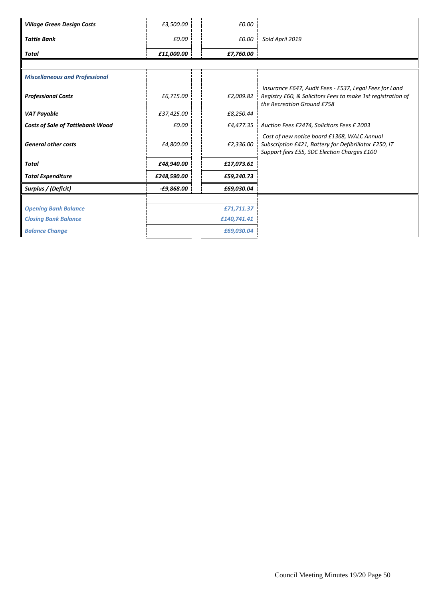| <b>Village Green Design Costs</b>       | £3,500.00    | £0.00      |                                                                                                                                                     |
|-----------------------------------------|--------------|------------|-----------------------------------------------------------------------------------------------------------------------------------------------------|
| <b>Tattle Bank</b>                      | £0.00        | £0.00      | Sold April 2019                                                                                                                                     |
| Total                                   | £11,000.00   | £7,760.00  |                                                                                                                                                     |
|                                         |              |            |                                                                                                                                                     |
| <b>Miscellaneous and Professional</b>   |              |            |                                                                                                                                                     |
| <b>Professional Costs</b>               | £6,715.00    | £2,009.82  | Insurance £647, Audit Fees - £537, Legal Fees for Land<br>Registry £60, & Solicitors Fees to make 1st registration of<br>the Recreation Ground £758 |
| <b>VAT Payable</b>                      | £37,425.00   | £8,250.44  |                                                                                                                                                     |
| <b>Costs of Sale of Tattlebank Wood</b> | £0.00        |            | £4,477.35 Auction Fees £2474, Solicitors Fees £ 2003                                                                                                |
| <b>General other costs</b>              | £4,800.00    | £2,336.00  | Cost of new notice board £1368, WALC Annual<br>Subscription £421, Battery for Defibrillator £250, IT<br>Support fees £55, SDC Election Charges £100 |
| Total                                   | £48,940.00   | £17,073.61 |                                                                                                                                                     |
| <b>Total Expenditure</b>                | £248,590.00  | £59,240.73 |                                                                                                                                                     |
| Surplus / (Deficit)                     | $-E9,868.00$ | £69,030.04 |                                                                                                                                                     |
|                                         |              |            |                                                                                                                                                     |
| <b>Opening Bank Balance</b>             |              | £71,711.37 |                                                                                                                                                     |
| <b>Closing Bank Balance</b>             | £140,741.41  |            |                                                                                                                                                     |
| <b>Balance Change</b>                   |              | £69,030.04 |                                                                                                                                                     |